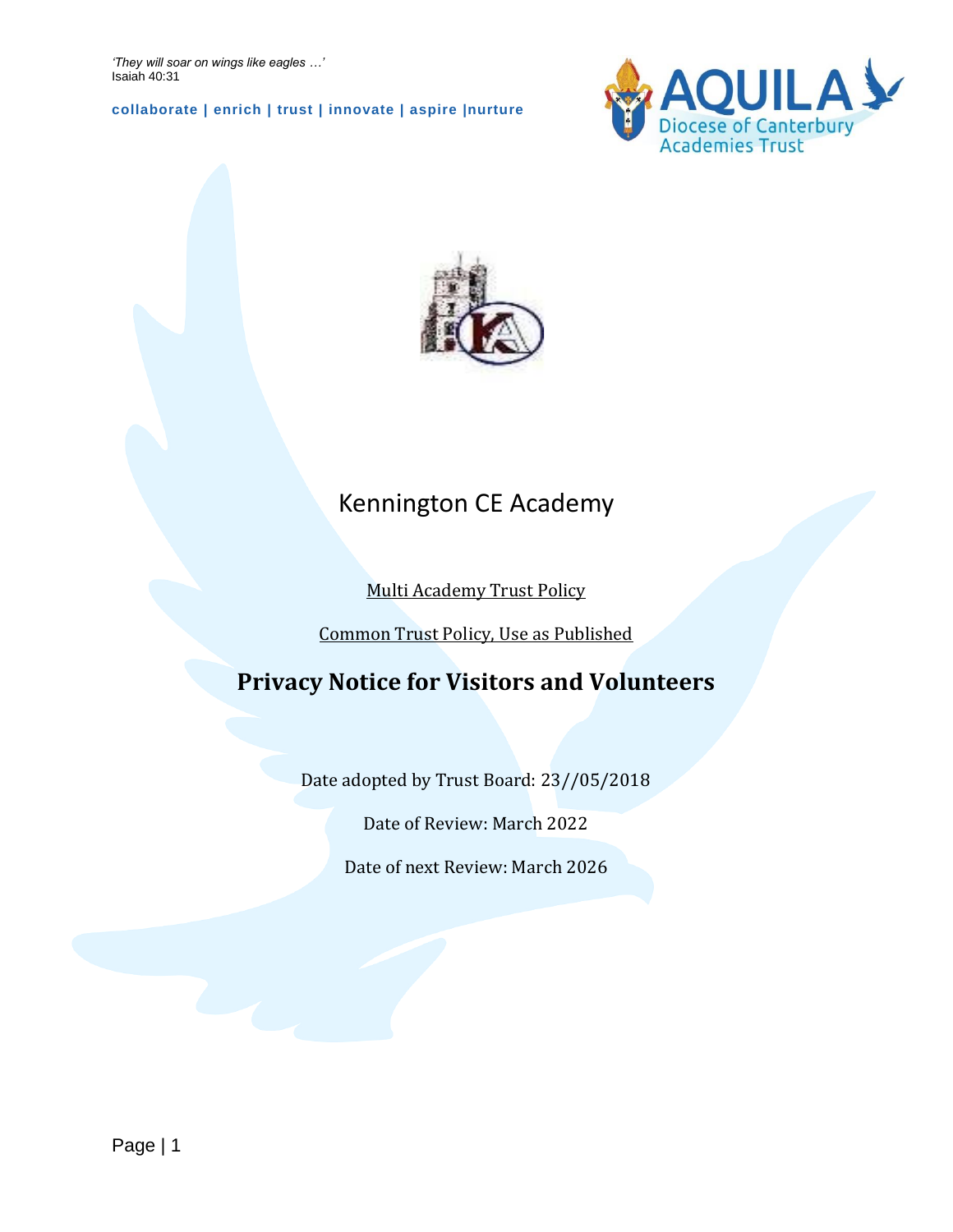*'They will soar on wings like eagles …'* Isaiah 40:31

**collaborate | enrich | trust | innovate | aspire |nurture**





## Kennington CE Academy

### Multi Academy Trust Policy

Common Trust Policy, Use as Published

## **Privacy Notice for Visitors and Volunteers**

Date adopted by Trust Board: 23//05/2018

Date of Review: March 2022

Date of next Review: March 2026

Page | 1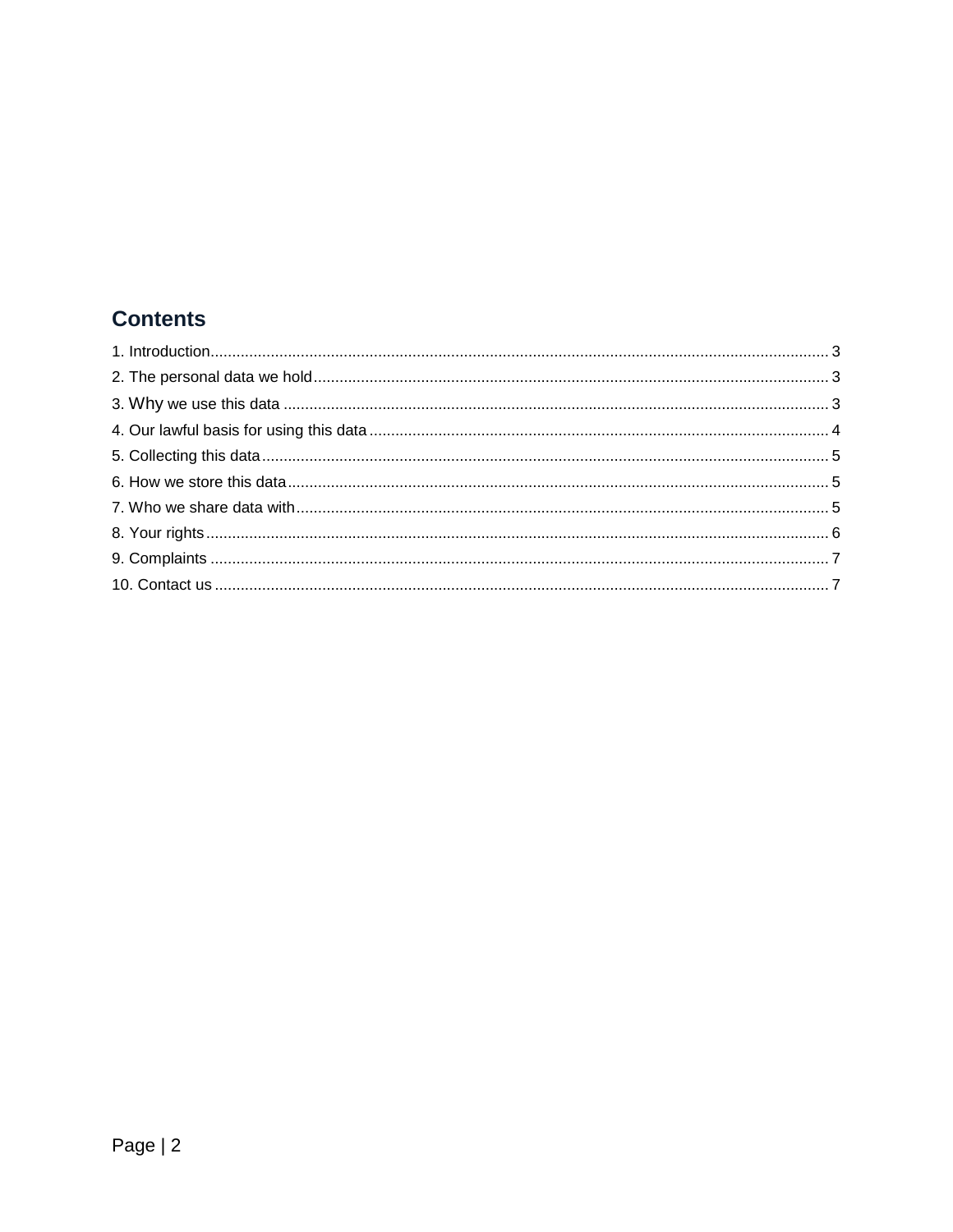### **Contents**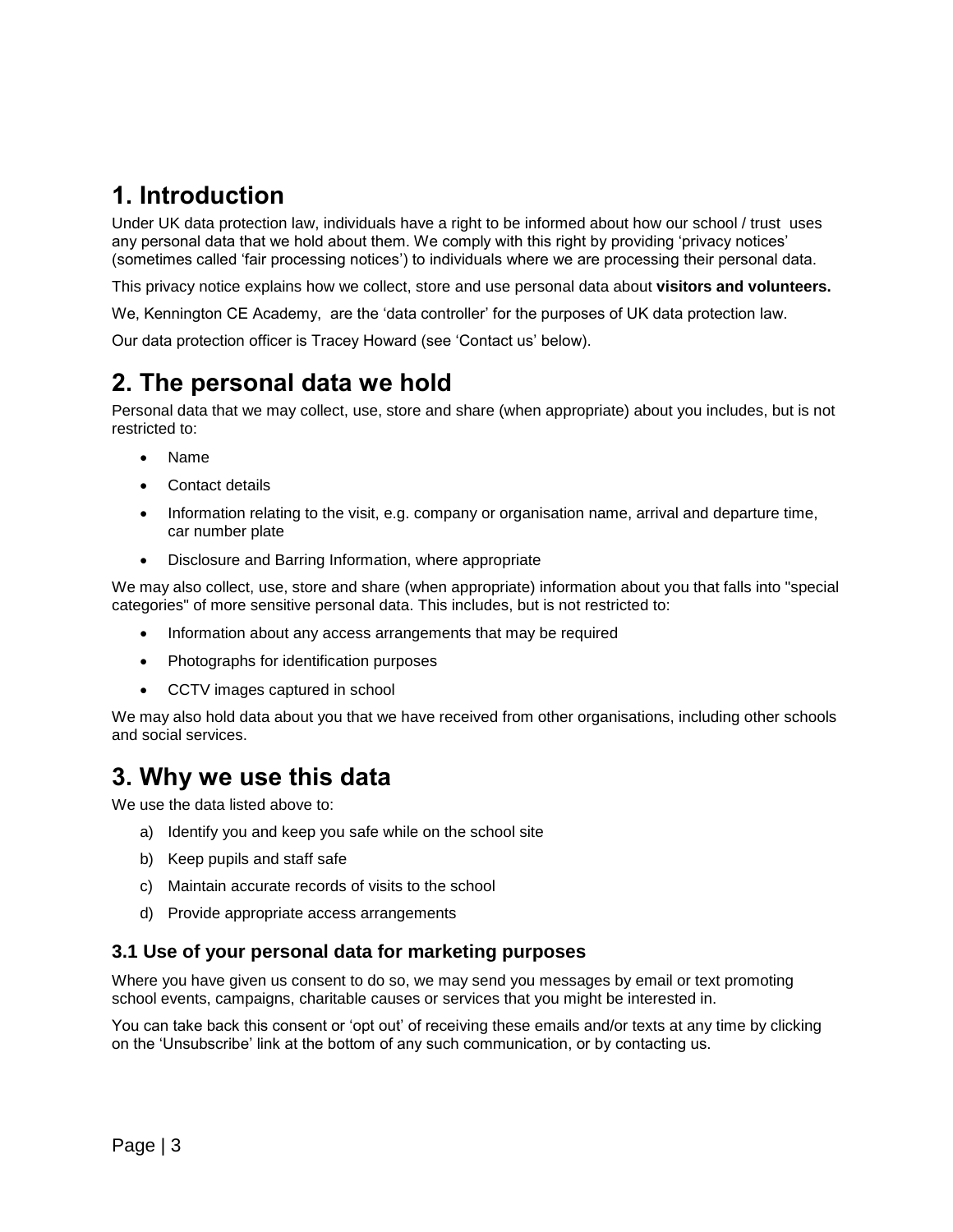## **1. Introduction**

Under UK data protection law, individuals have a right to be informed about how our school / trust uses any personal data that we hold about them. We comply with this right by providing 'privacy notices' (sometimes called 'fair processing notices') to individuals where we are processing their personal data.

This privacy notice explains how we collect, store and use personal data about **visitors and volunteers.**

We, Kennington CE Academy, are the 'data controller' for the purposes of UK data protection law.

Our data protection officer is Tracey Howard (see 'Contact us' below).

## **2. The personal data we hold**

Personal data that we may collect, use, store and share (when appropriate) about you includes, but is not restricted to:

- Name
- Contact details
- Information relating to the visit, e.g. company or organisation name, arrival and departure time, car number plate
- Disclosure and Barring Information, where appropriate

We may also collect, use, store and share (when appropriate) information about you that falls into "special categories" of more sensitive personal data. This includes, but is not restricted to:

- Information about any access arrangements that may be required
- Photographs for identification purposes
- CCTV images captured in school

We may also hold data about you that we have received from other organisations, including other schools and social services.

### **3. Why we use this data**

We use the data listed above to:

- a) Identify you and keep you safe while on the school site
- b) Keep pupils and staff safe
- c) Maintain accurate records of visits to the school
- d) Provide appropriate access arrangements

#### **3.1 Use of your personal data for marketing purposes**

Where you have given us consent to do so, we may send you messages by email or text promoting school events, campaigns, charitable causes or services that you might be interested in.

You can take back this consent or 'opt out' of receiving these emails and/or texts at any time by clicking on the 'Unsubscribe' link at the bottom of any such communication, or by contacting us.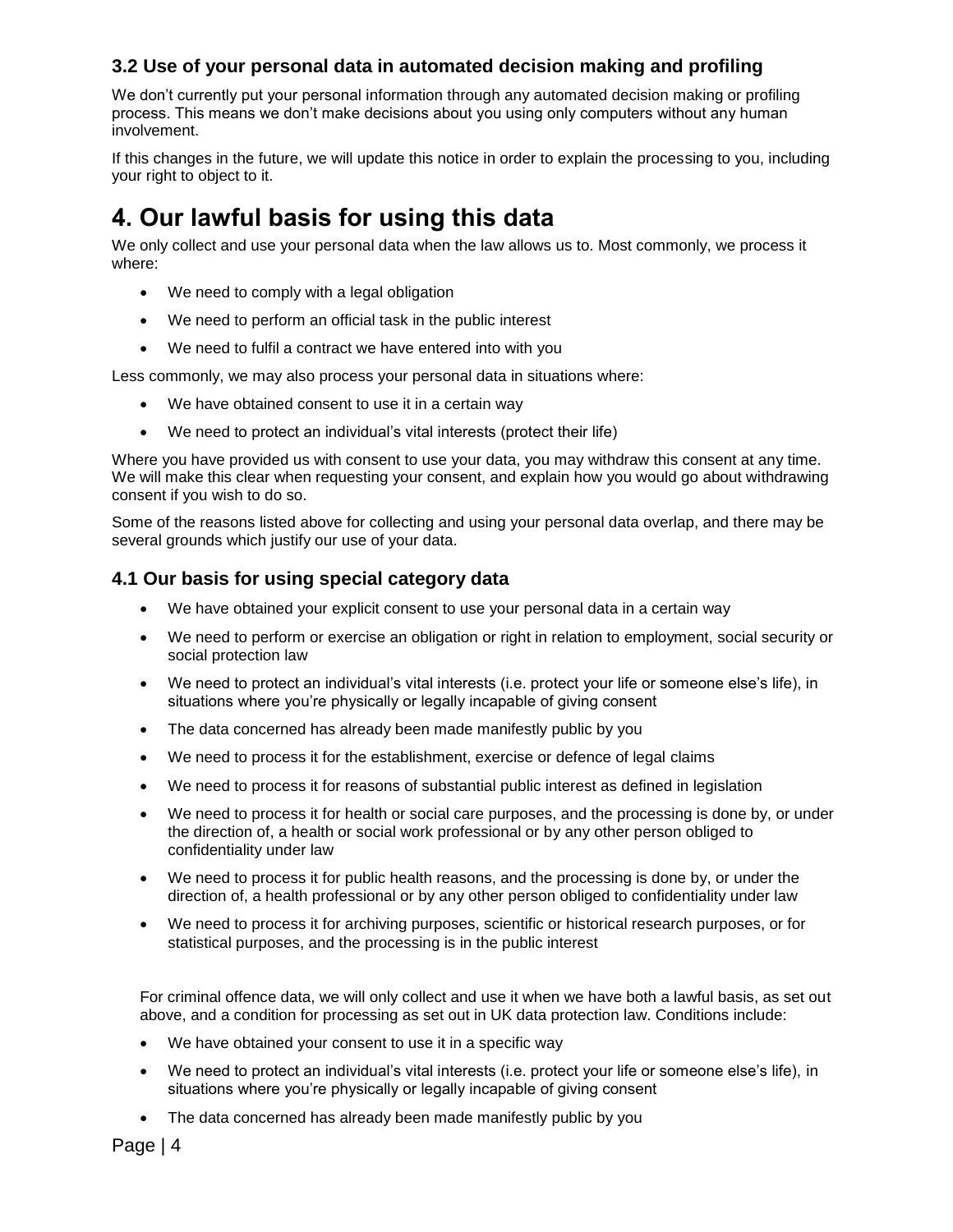### **3.2 Use of your personal data in automated decision making and profiling**

We don't currently put your personal information through any automated decision making or profiling process. This means we don't make decisions about you using only computers without any human involvement.

If this changes in the future, we will update this notice in order to explain the processing to you, including your right to object to it.

## **4. Our lawful basis for using this data**

We only collect and use your personal data when the law allows us to. Most commonly, we process it where:

- We need to comply with a legal obligation
- We need to perform an official task in the public interest
- We need to fulfil a contract we have entered into with you

Less commonly, we may also process your personal data in situations where:

- We have obtained consent to use it in a certain way
- We need to protect an individual's vital interests (protect their life)

Where you have provided us with consent to use your data, you may withdraw this consent at any time. We will make this clear when requesting your consent, and explain how you would go about withdrawing consent if you wish to do so.

Some of the reasons listed above for collecting and using your personal data overlap, and there may be several grounds which justify our use of your data.

#### **4.1 Our basis for using special category data**

- We have obtained your explicit consent to use your personal data in a certain way
- We need to perform or exercise an obligation or right in relation to employment, social security or social protection law
- We need to protect an individual's vital interests (i.e. protect your life or someone else's life), in situations where you're physically or legally incapable of giving consent
- The data concerned has already been made manifestly public by you
- We need to process it for the establishment, exercise or defence of legal claims
- We need to process it for reasons of substantial public interest as defined in legislation
- We need to process it for health or social care purposes, and the processing is done by, or under the direction of, a health or social work professional or by any other person obliged to confidentiality under law
- We need to process it for public health reasons, and the processing is done by, or under the direction of, a health professional or by any other person obliged to confidentiality under law
- We need to process it for archiving purposes, scientific or historical research purposes, or for statistical purposes, and the processing is in the public interest

For criminal offence data, we will only collect and use it when we have both a lawful basis, as set out above, and a condition for processing as set out in UK data protection law. Conditions include:

- We have obtained your consent to use it in a specific way
- We need to protect an individual's vital interests (i.e. protect your life or someone else's life), in situations where you're physically or legally incapable of giving consent
- The data concerned has already been made manifestly public by you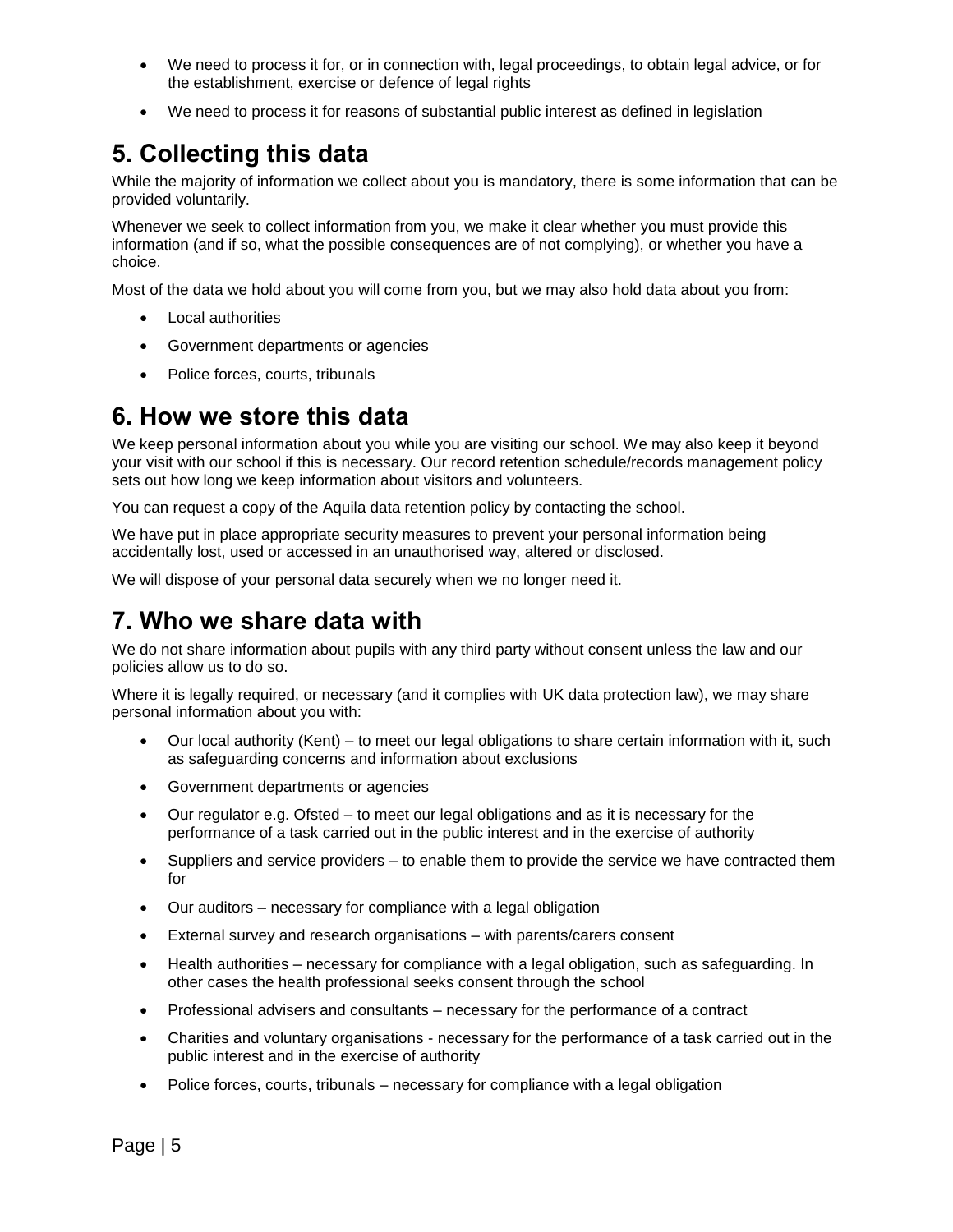- We need to process it for, or in connection with, legal proceedings, to obtain legal advice, or for the establishment, exercise or defence of legal rights
- We need to process it for reasons of substantial public interest as defined in legislation

# **5. Collecting this data**

While the majority of information we collect about you is mandatory, there is some information that can be provided voluntarily.

Whenever we seek to collect information from you, we make it clear whether you must provide this information (and if so, what the possible consequences are of not complying), or whether you have a choice.

Most of the data we hold about you will come from you, but we may also hold data about you from:

- Local authorities
- Government departments or agencies
- Police forces, courts, tribunals

### **6. How we store this data**

We keep personal information about you while you are visiting our school. We may also keep it beyond your visit with our school if this is necessary. Our record retention schedule/records management policy sets out how long we keep information about visitors and volunteers.

You can request a copy of the Aquila data retention policy by contacting the school.

We have put in place appropriate security measures to prevent your personal information being accidentally lost, used or accessed in an unauthorised way, altered or disclosed.

We will dispose of your personal data securely when we no longer need it.

## **7. Who we share data with**

We do not share information about pupils with any third party without consent unless the law and our policies allow us to do so.

Where it is legally required, or necessary (and it complies with UK data protection law), we may share personal information about you with:

- Our local authority (Kent) to meet our legal obligations to share certain information with it, such as safeguarding concerns and information about exclusions
- Government departments or agencies
- Our regulator e.g. Ofsted to meet our legal obligations and as it is necessary for the performance of a task carried out in the public interest and in the exercise of authority
- Suppliers and service providers to enable them to provide the service we have contracted them for
- Our auditors necessary for compliance with a legal obligation
- External survey and research organisations with parents/carers consent
- Health authorities necessary for compliance with a legal obligation, such as safeguarding. In other cases the health professional seeks consent through the school
- Professional advisers and consultants necessary for the performance of a contract
- Charities and voluntary organisations necessary for the performance of a task carried out in the public interest and in the exercise of authority
- Police forces, courts, tribunals necessary for compliance with a legal obligation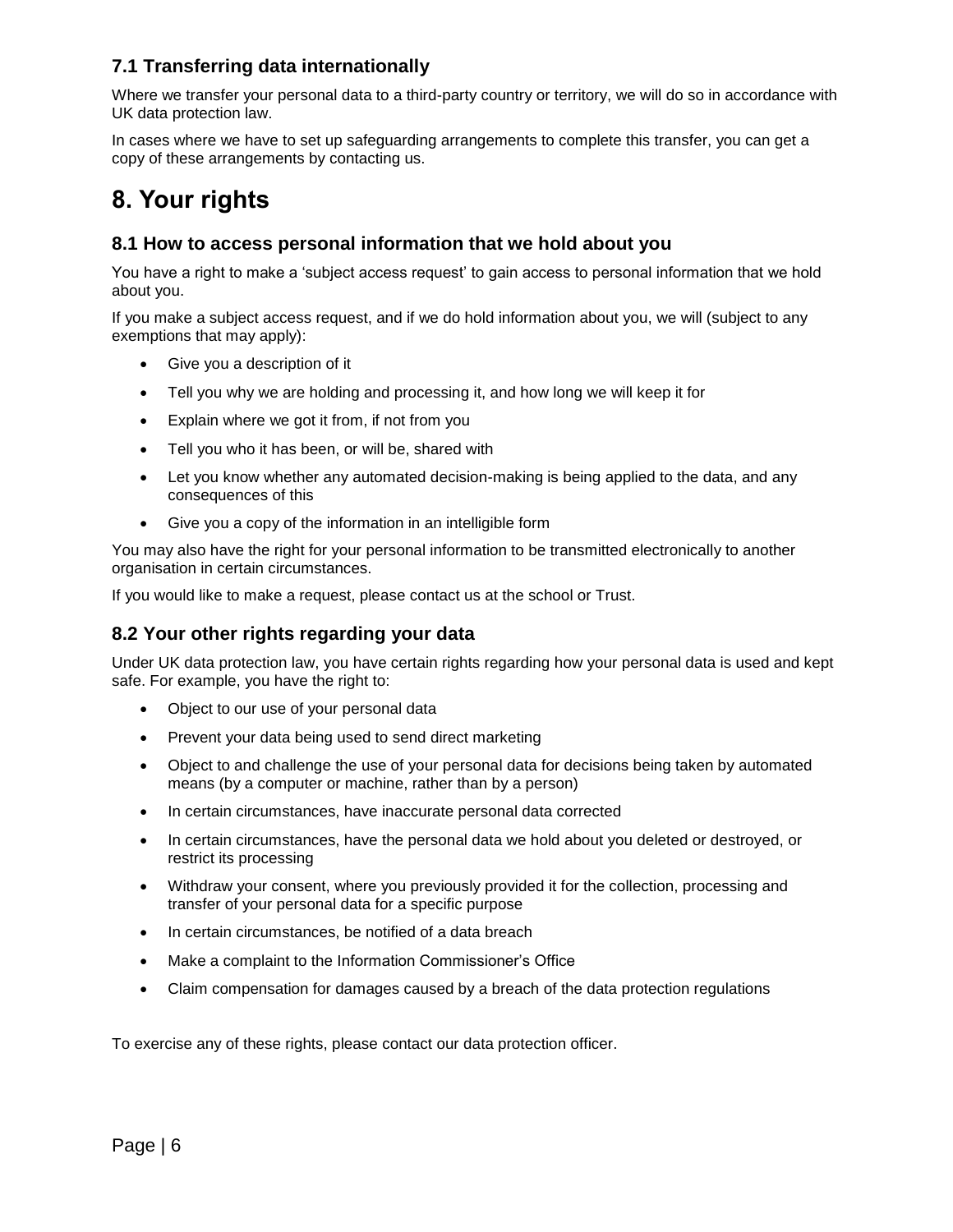### **7.1 Transferring data internationally**

Where we transfer your personal data to a third-party country or territory, we will do so in accordance with UK data protection law.

In cases where we have to set up safeguarding arrangements to complete this transfer, you can get a copy of these arrangements by contacting us.

# **8. Your rights**

#### **8.1 How to access personal information that we hold about you**

You have a right to make a 'subject access request' to gain access to personal information that we hold about you.

If you make a subject access request, and if we do hold information about you, we will (subject to any exemptions that may apply):

- Give you a description of it
- Tell you why we are holding and processing it, and how long we will keep it for
- Explain where we got it from, if not from you
- Tell you who it has been, or will be, shared with
- Let you know whether any automated decision-making is being applied to the data, and any consequences of this
- Give you a copy of the information in an intelligible form

You may also have the right for your personal information to be transmitted electronically to another organisation in certain circumstances.

If you would like to make a request, please contact us at the school or Trust.

#### **8.2 Your other rights regarding your data**

Under UK data protection law, you have certain rights regarding how your personal data is used and kept safe. For example, you have the right to:

- Object to our use of your personal data
- Prevent your data being used to send direct marketing
- Object to and challenge the use of your personal data for decisions being taken by automated means (by a computer or machine, rather than by a person)
- In certain circumstances, have inaccurate personal data corrected
- In certain circumstances, have the personal data we hold about you deleted or destroyed, or restrict its processing
- Withdraw your consent, where you previously provided it for the collection, processing and transfer of your personal data for a specific purpose
- In certain circumstances, be notified of a data breach
- Make a complaint to the Information Commissioner's Office
- Claim compensation for damages caused by a breach of the data protection regulations

To exercise any of these rights, please contact our data protection officer.